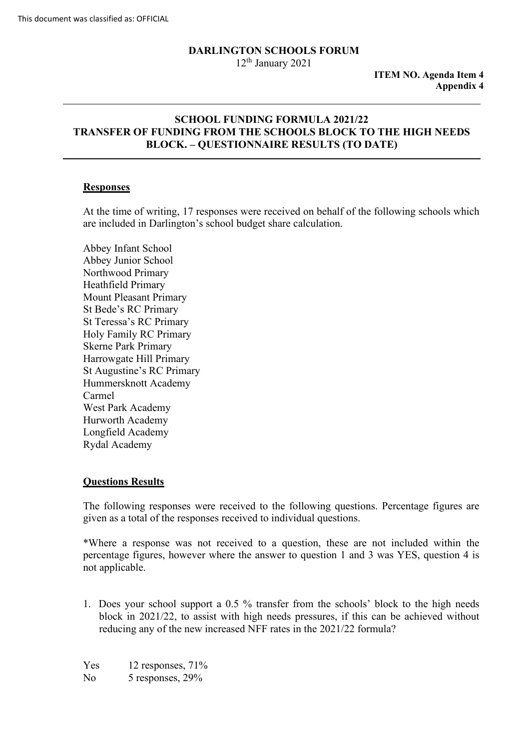## **DARLINGTON SCHOOLS FORUM**

 $12<sup>th</sup>$  January 2021

 **ITEM NO. Agenda Item 4 Appendix 4** 

### **BLOCK. – QUESTIONNAIRE RESULTS (TO DATE) SCHOOL FUNDING FORMULA 2021/22 TRANSFER OF FUNDING FROM THE SCHOOLS BLOCK TO THE HIGH NEEDS**

### **Responses**

At the time of writing, 17 responses were received on behalf of the following schools which are included in Darlington's school budget share calculation.

 Hummersknott Academy Abbey Infant School Abbey Junior School Northwood Primary Heathfield Primary Mount Pleasant Primary St Bede's RC Primary St Teressa's RC Primary Holy Family RC Primary Skerne Park Primary Harrowgate Hill Primary St Augustine's RC Primary Carmel West Park Academy Hurworth Academy Longfield Academy Rydal Academy

#### **Questions Results**

 given as a total of the responses received to individual questions. The following responses were received to the following questions. Percentage figures are

\*Where a response was not received to a question, these are not included within the percentage figures, however where the answer to question 1 and 3 was YES, question 4 is not applicable.

 1. Does your school support a 0.5 % transfer from the schools' block to the high needs reducing any of the new increased NFF rates in the 2021/22 formula?<br>Yes 12 responses, 71% block in 2021/22, to assist with high needs pressures, if this can be achieved without

Yes No 5 responses, 29%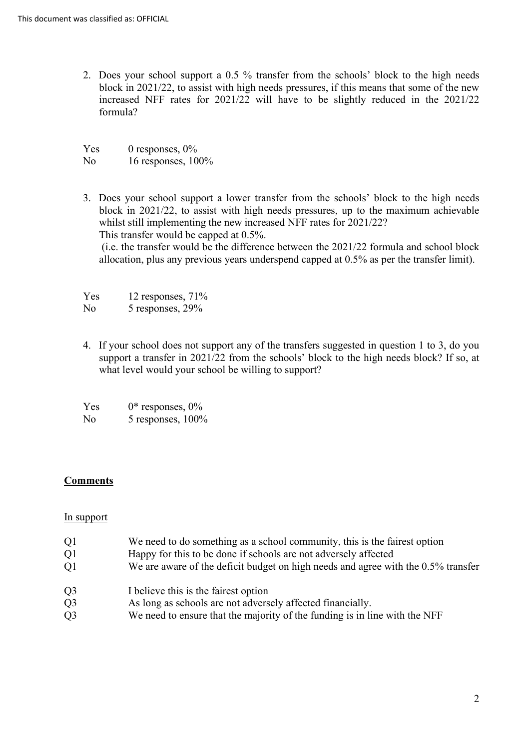2. Does your school support a 0.5 % transfer from the schools' block to the high needs block in 2021/22, to assist with high needs pressures, if this means that some of the new increased NFF rates for 2021/22 will have to be slightly reduced in the 2021/22 formula?

Yes  $No$ 0 responses,  $0\%$ 16 responses,  $100\%$ 

 3. Does your school support a lower transfer from the schools' block to the high needs block in 2021/22, to assist with high needs pressures, up to the maximum achievable whilst still implementing the new increased NFF rates for 2021/22? This transfer would be capped at 0.5%. This transfer would be capped at 0.5%. (i.e. the transfer would be the difference between the 2021/22 formula and school block allocation, plus any previous years underspend capped at 0.5% as per the transfer limit).

Yes 12 responses,  $71%$ 

 $No$  $5$  responses,  $29%$ 

 4. If your school does not support any of the transfers suggested in question 1 to 3, do you support a transfer in 2021/22 from the schools' block to the high needs block? If so, at what level would your school be willing to support?

| <b>Yes</b>     | $0^*$ responses, $0\%$ |
|----------------|------------------------|
| N <sub>0</sub> | 5 responses, 100%      |

# **Comments**

#### In support

- $O<sub>1</sub>$ We need to do something as a school community, this is the fairest option
- $O<sub>1</sub>$ Happy for this to be done if schools are not adversely affected
- $O1$ We are aware of the deficit budget on high needs and agree with the 0.5% transfer
- $Q<sub>3</sub>$ I believe this is the fairest option
- $Q<sub>3</sub>$ As long as schools are not adversely affected financially.
- $Q<sub>3</sub>$ We need to ensure that the majority of the funding is in line with the NFF